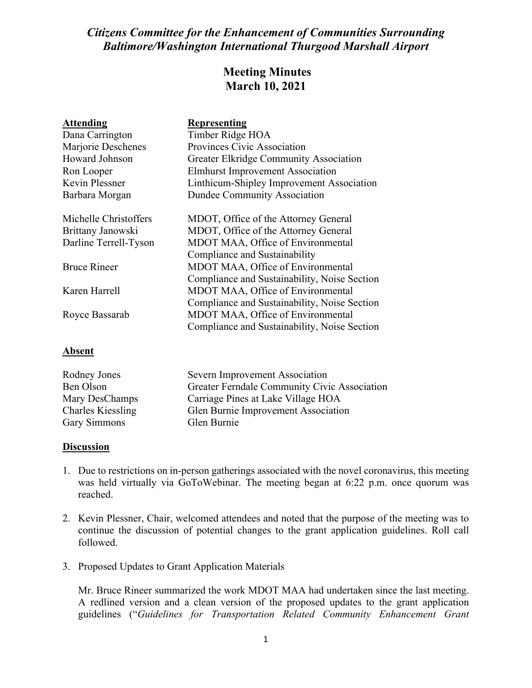## *Citizens Committee for the Enhancement of Communities Surrounding Baltimore/Washington International Thurgood Marshall Airport*

## **Meeting Minutes March 10, 2021**

| <b>Attending</b>      | <b>Representing</b>                           |
|-----------------------|-----------------------------------------------|
| Dana Carrington       | Timber Ridge HOA                              |
| Marjorie Deschenes    | Provinces Civic Association                   |
| Howard Johnson        | <b>Greater Elkridge Community Association</b> |
| Ron Looper            | <b>Elmhurst Improvement Association</b>       |
| Kevin Plessner        | Linthicum-Shipley Improvement Association     |
| Barbara Morgan        | <b>Dundee Community Association</b>           |
| Michelle Christoffers | MDOT, Office of the Attorney General          |
| Brittany Janowski     | MDOT, Office of the Attorney General          |
| Darline Terrell-Tyson | MDOT MAA, Office of Environmental             |
|                       | Compliance and Sustainability                 |
| <b>Bruce Rineer</b>   | MDOT MAA, Office of Environmental             |
|                       | Compliance and Sustainability, Noise Section  |
| Karen Harrell         | MDOT MAA, Office of Environmental             |
|                       | Compliance and Sustainability, Noise Section  |
| Royce Bassarab        | MDOT MAA, Office of Environmental             |
|                       | Compliance and Sustainability, Noise Section  |
|                       |                                               |

| Rodney Jones             | Severn Improvement Association               |
|--------------------------|----------------------------------------------|
| Ben Olson                | Greater Ferndale Community Civic Association |
| Mary DesChamps           | Carriage Pines at Lake Village HOA           |
| <b>Charles Kiessling</b> | Glen Burnie Improvement Association          |
| Gary Simmons             | Glen Burnie                                  |

## **Discussion**

**Absent**

- 1. Due to restrictions on in-person gatherings associated with the novel coronavirus, this meeting was held virtually via GoToWebinar. The meeting began at 6:22 p.m. once quorum was reached.
- 2. Kevin Plessner, Chair, welcomed attendees and noted that the purpose of the meeting was to continue the discussion of potential changes to the grant application guidelines. Roll call followed.
- 3. Proposed Updates to Grant Application Materials

Mr. Bruce Rineer summarized the work MDOT MAA had undertaken since the last meeting. A redlined version and a clean version of the proposed updates to the grant application guidelines ("*Guidelines for Transportation Related Community Enhancement Grant*